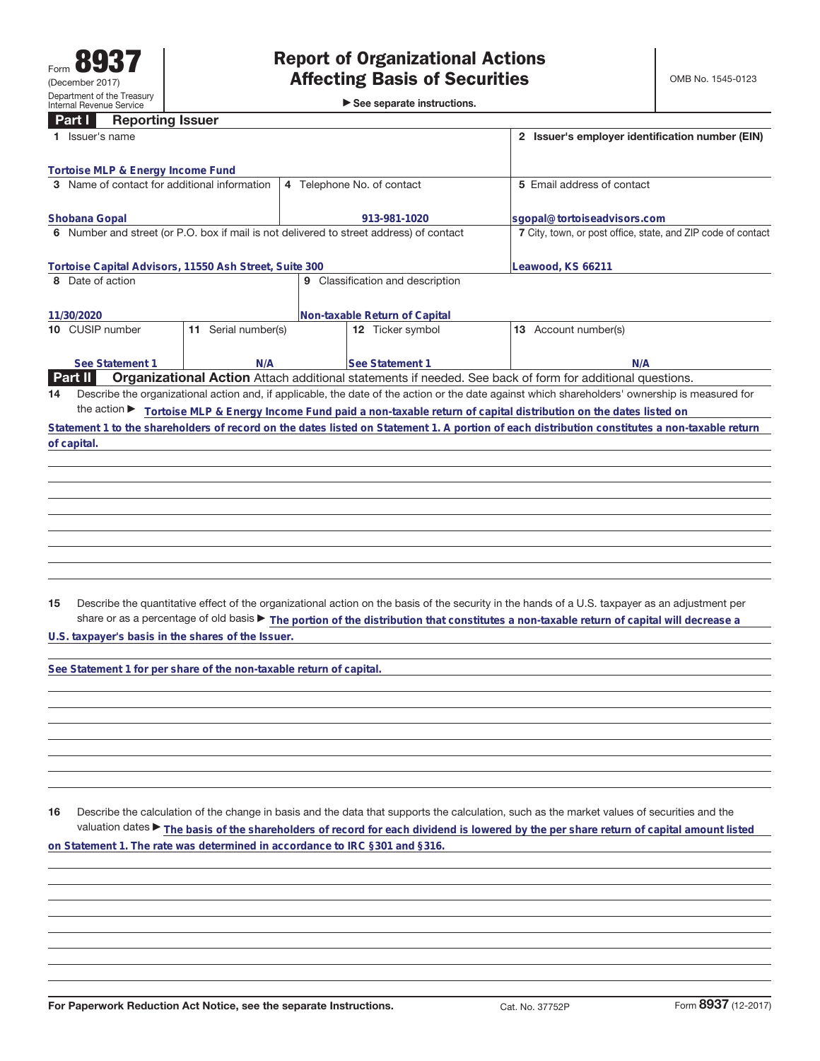►<br>► See separate instructions.

## **Part I Reporting Issuer**

|                                                        | Issuer's name                                                                           |                        |                                     |                  |  | 2 Issuer's employer identification number (EIN)                                                                                                 |  |  |  |  |
|--------------------------------------------------------|-----------------------------------------------------------------------------------------|------------------------|-------------------------------------|------------------|--|-------------------------------------------------------------------------------------------------------------------------------------------------|--|--|--|--|
|                                                        | Tortoise MLP & Energy Income Fund                                                       |                        |                                     |                  |  |                                                                                                                                                 |  |  |  |  |
|                                                        | 3 Name of contact for additional information                                            |                        | 4 Telephone No. of contact          |                  |  | 5 Email address of contact                                                                                                                      |  |  |  |  |
|                                                        |                                                                                         |                        |                                     |                  |  |                                                                                                                                                 |  |  |  |  |
|                                                        | Shobana Gopal                                                                           |                        | 913-981-1020                        |                  |  | sgopal@tortoiseadvisors.com                                                                                                                     |  |  |  |  |
|                                                        | 6 Number and street (or P.O. box if mail is not delivered to street address) of contact |                        |                                     |                  |  | 7 City, town, or post office, state, and ZIP code of contact                                                                                    |  |  |  |  |
| Tortoise Capital Advisors, 11550 Ash Street, Suite 300 |                                                                                         |                        |                                     |                  |  | Leawood, KS 66211                                                                                                                               |  |  |  |  |
| 8                                                      | Date of action                                                                          |                        | Classification and description<br>9 |                  |  |                                                                                                                                                 |  |  |  |  |
|                                                        | 11/30/2020                                                                              |                        |                                     |                  |  |                                                                                                                                                 |  |  |  |  |
|                                                        |                                                                                         |                        | Non-taxable Return of Capital       |                  |  |                                                                                                                                                 |  |  |  |  |
|                                                        | 10 CUSIP number                                                                         | Serial number(s)<br>11 |                                     | 12 Ticker symbol |  | 13 Account number(s)                                                                                                                            |  |  |  |  |
|                                                        |                                                                                         |                        |                                     |                  |  |                                                                                                                                                 |  |  |  |  |
|                                                        | See Statement 1<br>N/A                                                                  |                        | <b>See Statement 1</b>              |                  |  | N/A                                                                                                                                             |  |  |  |  |
|                                                        | <b>Part II</b>                                                                          |                        |                                     |                  |  | <b>Organizational Action</b> Attach additional statements if needed. See back of form for additional questions.                                 |  |  |  |  |
| 14                                                     |                                                                                         |                        |                                     |                  |  | Describe the organizational action and, if applicable, the date of the action or the date against which shareholders' ownership is measured for |  |  |  |  |
|                                                        |                                                                                         |                        |                                     |                  |  | the action ► Tortoise MLP & Energy Income Fund paid a non-taxable return of capital distribution on the dates listed on                         |  |  |  |  |
|                                                        |                                                                                         |                        |                                     |                  |  | Statement 1 to the shareholders of record on the dates listed on Statement 1. A portion of each distribution constitutes a non-taxable return   |  |  |  |  |
|                                                        | of capital.                                                                             |                        |                                     |                  |  |                                                                                                                                                 |  |  |  |  |
|                                                        |                                                                                         |                        |                                     |                  |  |                                                                                                                                                 |  |  |  |  |
|                                                        |                                                                                         |                        |                                     |                  |  |                                                                                                                                                 |  |  |  |  |
|                                                        |                                                                                         |                        |                                     |                  |  |                                                                                                                                                 |  |  |  |  |
|                                                        |                                                                                         |                        |                                     |                  |  |                                                                                                                                                 |  |  |  |  |
|                                                        |                                                                                         |                        |                                     |                  |  |                                                                                                                                                 |  |  |  |  |

**15** Describe the quantitative effect of the organizational action on the basis of the security in the hands of a U.S. taxpayer as an adjustment per share or as a percentage of old basis a **The portion of the distribution that constitutes a non-taxable return of capital will decrease a**

**U.S. taxpayer's basis in the shares of the Issuer.**

**See Statement 1 for per share of the non-taxable return of capital.**

**16** Describe the calculation of the change in basis and the data that supports the calculation, such as the market values of securities and the valuation dates ▶ The basis of the shareholders of record for each dividend is lowered by the per share return of capital amount listed **on Statement 1. The rate was determined in accordance to IRC §301 and §316.**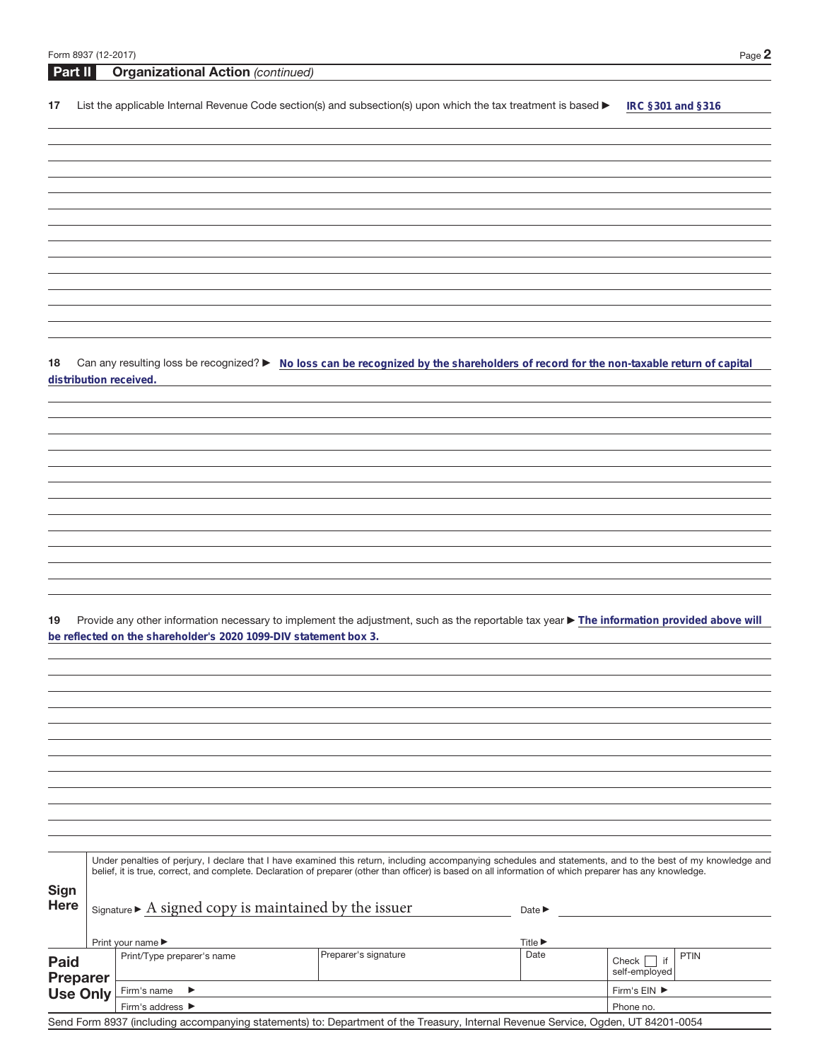| Part II                            | <b>Organizational Action (continued)</b>                             |                                                                                                                                                                                                                                                                                                                          |                                     |                                         |
|------------------------------------|----------------------------------------------------------------------|--------------------------------------------------------------------------------------------------------------------------------------------------------------------------------------------------------------------------------------------------------------------------------------------------------------------------|-------------------------------------|-----------------------------------------|
| 17                                 |                                                                      | List the applicable Internal Revenue Code section(s) and subsection(s) upon which the tax treatment is based $\blacktriangleright$                                                                                                                                                                                       |                                     | IRC §301 and §316                       |
|                                    |                                                                      |                                                                                                                                                                                                                                                                                                                          |                                     |                                         |
|                                    |                                                                      |                                                                                                                                                                                                                                                                                                                          |                                     |                                         |
|                                    |                                                                      |                                                                                                                                                                                                                                                                                                                          |                                     |                                         |
|                                    |                                                                      |                                                                                                                                                                                                                                                                                                                          |                                     |                                         |
|                                    |                                                                      |                                                                                                                                                                                                                                                                                                                          |                                     |                                         |
|                                    |                                                                      |                                                                                                                                                                                                                                                                                                                          |                                     |                                         |
|                                    |                                                                      |                                                                                                                                                                                                                                                                                                                          |                                     |                                         |
|                                    |                                                                      |                                                                                                                                                                                                                                                                                                                          |                                     |                                         |
|                                    |                                                                      |                                                                                                                                                                                                                                                                                                                          |                                     |                                         |
|                                    |                                                                      |                                                                                                                                                                                                                                                                                                                          |                                     |                                         |
|                                    |                                                                      |                                                                                                                                                                                                                                                                                                                          |                                     |                                         |
| 18                                 |                                                                      | Can any resulting loss be recognized? ► No loss can be recognized by the shareholders of record for the non-taxable return of capital                                                                                                                                                                                    |                                     |                                         |
|                                    | distribution received.                                               |                                                                                                                                                                                                                                                                                                                          |                                     |                                         |
|                                    |                                                                      |                                                                                                                                                                                                                                                                                                                          |                                     |                                         |
|                                    |                                                                      |                                                                                                                                                                                                                                                                                                                          |                                     |                                         |
|                                    |                                                                      |                                                                                                                                                                                                                                                                                                                          |                                     |                                         |
|                                    |                                                                      |                                                                                                                                                                                                                                                                                                                          |                                     |                                         |
|                                    |                                                                      |                                                                                                                                                                                                                                                                                                                          |                                     |                                         |
|                                    |                                                                      |                                                                                                                                                                                                                                                                                                                          |                                     |                                         |
|                                    |                                                                      |                                                                                                                                                                                                                                                                                                                          |                                     |                                         |
|                                    |                                                                      |                                                                                                                                                                                                                                                                                                                          |                                     |                                         |
|                                    |                                                                      |                                                                                                                                                                                                                                                                                                                          |                                     |                                         |
|                                    |                                                                      |                                                                                                                                                                                                                                                                                                                          |                                     |                                         |
|                                    |                                                                      |                                                                                                                                                                                                                                                                                                                          |                                     |                                         |
| 19                                 | be reflected on the shareholder's 2020 1099-DIV statement box 3.     | Provide any other information necessary to implement the adjustment, such as the reportable tax year ▶ The information provided above will                                                                                                                                                                               |                                     |                                         |
|                                    |                                                                      |                                                                                                                                                                                                                                                                                                                          |                                     |                                         |
|                                    |                                                                      |                                                                                                                                                                                                                                                                                                                          |                                     |                                         |
|                                    |                                                                      |                                                                                                                                                                                                                                                                                                                          |                                     |                                         |
|                                    |                                                                      |                                                                                                                                                                                                                                                                                                                          |                                     |                                         |
|                                    |                                                                      |                                                                                                                                                                                                                                                                                                                          |                                     |                                         |
|                                    |                                                                      |                                                                                                                                                                                                                                                                                                                          |                                     |                                         |
|                                    |                                                                      |                                                                                                                                                                                                                                                                                                                          |                                     |                                         |
|                                    |                                                                      |                                                                                                                                                                                                                                                                                                                          |                                     |                                         |
|                                    |                                                                      |                                                                                                                                                                                                                                                                                                                          |                                     |                                         |
|                                    |                                                                      |                                                                                                                                                                                                                                                                                                                          |                                     |                                         |
|                                    |                                                                      |                                                                                                                                                                                                                                                                                                                          |                                     |                                         |
|                                    |                                                                      | Under penalties of perjury, I declare that I have examined this return, including accompanying schedules and statements, and to the best of my knowledge and<br>belief, it is true, correct, and complete. Declaration of preparer (other than officer) is based on all information of which preparer has any knowledge. |                                     |                                         |
| <b>Sign</b>                        |                                                                      |                                                                                                                                                                                                                                                                                                                          |                                     |                                         |
| <b>Here</b>                        | $Signature \triangleright A signed copy is maintained by the issuer$ |                                                                                                                                                                                                                                                                                                                          | Date $\blacktriangleright$          |                                         |
|                                    |                                                                      |                                                                                                                                                                                                                                                                                                                          |                                     |                                         |
|                                    | Print your name ▶<br>Print/Type preparer's name                      | Preparer's signature                                                                                                                                                                                                                                                                                                     | Title $\blacktriangleright$<br>Date | <b>PTIN</b>                             |
| Paid                               |                                                                      |                                                                                                                                                                                                                                                                                                                          |                                     | Check $\vert \vert$ if<br>self-employed |
| <b>Preparer</b><br><b>Use Only</b> | Firm's name<br>▶                                                     |                                                                                                                                                                                                                                                                                                                          |                                     | Firm's EIN ▶                            |
|                                    | Firm's address ▶                                                     |                                                                                                                                                                                                                                                                                                                          |                                     | Phone no.                               |

Send Form 8937 (including accompanying statements) to: Department of the Treasury, Internal Revenue Service, Ogden, UT 84201-0054